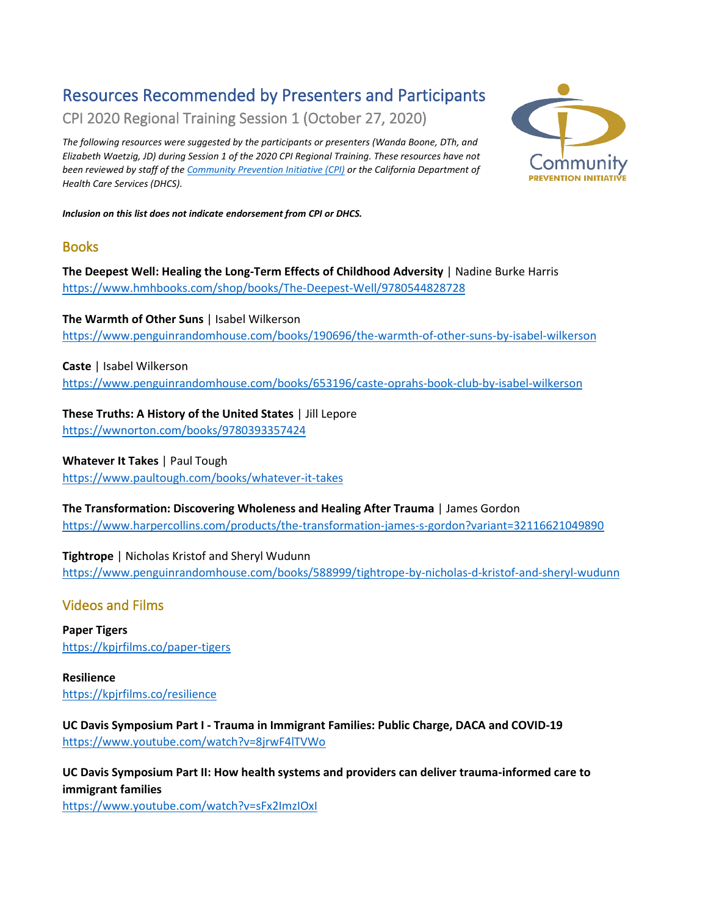# Resources Recommended by Presenters and Participants

CPI 2020 Regional Training Session 1 (October 27, 2020)

*The following resources were suggested by the participants or presenters (Wanda Boone, DTh, and Elizabeth Waetzig, JD) during Session 1 of the 2020 CPI Regional Training. These resources have not been reviewed by staff of the [Community Prevention Initiative \(CPI\)](http://ca-cpi.org/) or the California Department of Health Care Services (DHCS).* 



*Inclusion on this list does not indicate endorsement from CPI or DHCS.*

### Books

**The Deepest Well: Healing the Long-Term Effects of Childhood Adversity** | Nadine Burke Harris <https://www.hmhbooks.com/shop/books/The-Deepest-Well/9780544828728>

**The Warmth of Other Suns** | Isabel Wilkerson [https://www.penguinrandomhouse.com/books/190696/the-warmth-of-other-suns-by-isabel-wilkerson](https://www.penguinrandomhouse.com/books/190696/the-warmth-of-other-suns-by-isabel-wilkerson/)

**Caste** | Isabel Wilkerson [https://www.penguinrandomhouse.com/books/653196/caste-oprahs-book-club-by-isabel-wilkerson](https://www.penguinrandomhouse.com/books/653196/caste-oprahs-book-club-by-isabel-wilkerson/)

**These Truths: A History of the United States** | Jill Lepore <https://wwnorton.com/books/9780393357424>

**Whatever It Takes** | Paul Tough

[https://www.paultough.com/books/whatever-it-takes](https://www.paultough.com/books/whatever-it-takes/)

**The Transformation: Discovering Wholeness and Healing After Trauma** | James Gordon <https://www.harpercollins.com/products/the-transformation-james-s-gordon?variant=32116621049890>

**Tightrope** | Nicholas Kristof and Sheryl Wudunn <https://www.penguinrandomhouse.com/books/588999/tightrope-by-nicholas-d-kristof-and-sheryl-wudunn>

# Videos and Films

**Paper Tigers** <https://kpjrfilms.co/paper-tigers>

**Resilience** [https://kpjrfilms.co/resilience](https://kpjrfilms.co/resilience/)

**UC Davis Symposium Part I - Trauma in Immigrant Families: Public Charge, DACA and COVID-19** <https://www.youtube.com/watch?v=8jrwF4lTVWo>

**UC Davis Symposium Part II: How health systems and providers can deliver trauma-informed care to immigrant families**

<https://www.youtube.com/watch?v=sFx2ImzIOxI>